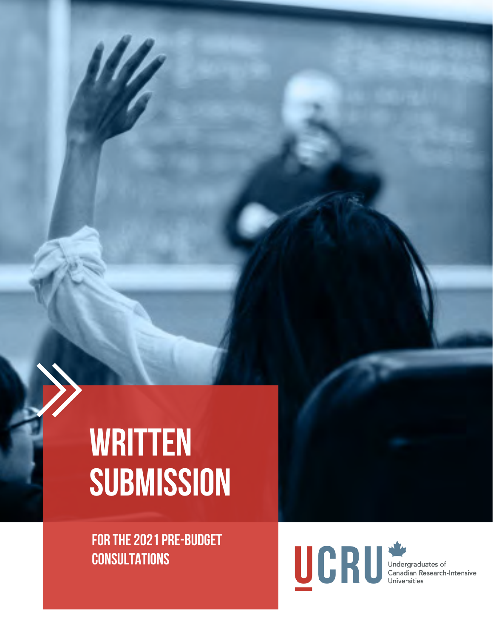### **WRITTEN SUBMISSION**

FOR THE 2021 PRE-BUDGET **CONSULTATIONS** 

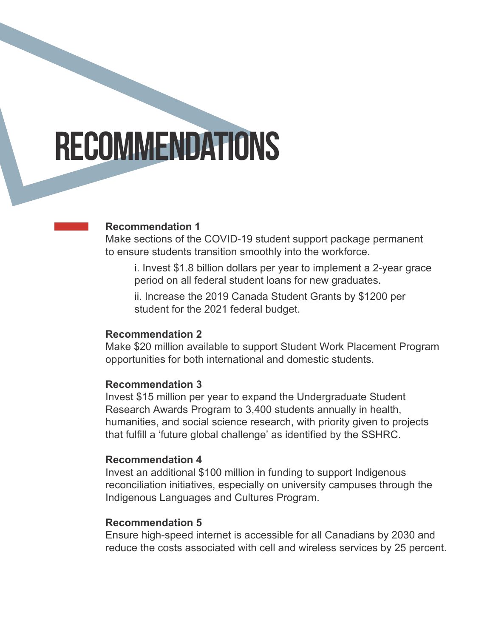### RECOMMENDATIONS

#### **Recommendation 1**

Make sections of the COVID-19 student support package permanent to ensure students transition smoothly into the workforce.

 i. Invest \$1.8 billion dollars per year to implement a 2-year grace period on all federal student loans for new graduates.

 ii. Increase the 2019 Canada Student Grants by \$1200 per student for the 2021 federal budget.

#### **Recommendation 2**

Make \$20 million available to support Student Work Placement Program opportunities for both international and domestic students.

#### **Recommendation 3**

Invest \$15 million per year to expand the Undergraduate Student Research Awards Program to 3,400 students annually in health, humanities, and social science research, with priority given to projects that fulfill a 'future global challenge' as identified by the SSHRC.

#### **Recommendation 4**

Invest an additional \$100 million in funding to support Indigenous reconciliation initiatives, especially on university campuses through the Indigenous Languages and Cultures Program.

#### **Recommendation 5**

Ensure high-speed internet is accessible for all Canadians by 2030 and reduce the costs associated with cell and wireless services by 25 percent.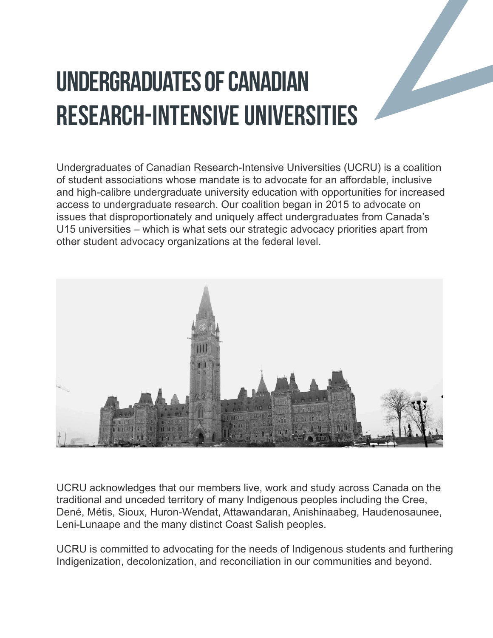### UNDERGRADUATES OF CANADIAN RESEARCH-INTENSIVE UNIVERSITIES

Undergraduates of Canadian Research-Intensive Universities (UCRU) is a coalition of student associations whose mandate is to advocate for an affordable, inclusive and high-calibre undergraduate university education with opportunities for increased access to undergraduate research. Our coalition began in 2015 to advocate on issues that disproportionately and uniquely affect undergraduates from Canada's U15 universities – which is what sets our strategic advocacy priorities apart from other student advocacy organizations at the federal level.



UCRU acknowledges that our members live, work and study across Canada on the traditional and unceded territory of many Indigenous peoples including the Cree, Dené, Métis, Sioux, Huron-Wendat, Attawandaran, Anishinaabeg, Haudenosaunee, Leni-Lunaape and the many distinct Coast Salish peoples.

UCRU is committed to advocating for the needs of Indigenous students and furthering Indigenization, decolonization, and reconciliation in our communities and beyond.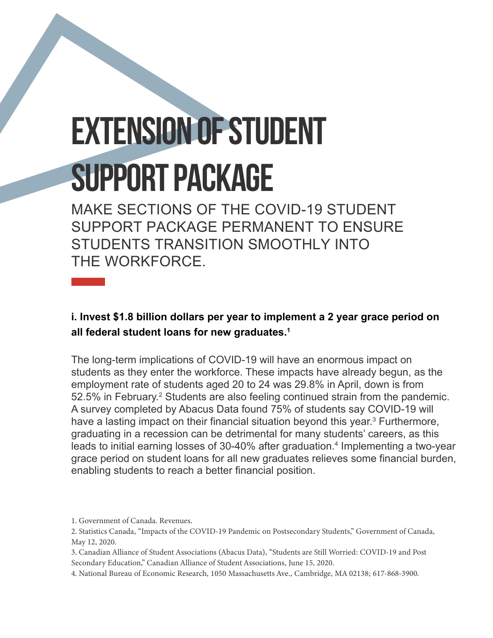# EXTENSION OF STUDENT SUPPORT PACKAGE

MAKE SECTIONS OF THE COVID-19 STUDENT SUPPORT PACKAGE PERMANENT TO ENSURE STUDENTS TRANSITION SMOOTHLY INTO THE WORKFORCE.

**i. Invest \$1.8 billion dollars per year to implement a 2 year grace period on all federal student loans for new graduates.1**

The long-term implications of COVID-19 will have an enormous impact on students as they enter the workforce. These impacts have already begun, as the employment rate of students aged 20 to 24 was 29.8% in April, down is from 52.5% in February.<sup>2</sup> Students are also feeling continued strain from the pandemic. A survey completed by Abacus Data found 75% of students say COVID-19 will have a lasting impact on their financial situation beyond this year.<sup>3</sup> Furthermore, graduating in a recession can be detrimental for many students' careers, as this leads to initial earning losses of 30-40% after graduation.<sup>4</sup> Implementing a two-year grace period on student loans for all new graduates relieves some financial burden, enabling students to reach a better financial position.

<sup>1.</sup> Government of Canada. Revenues.

<sup>2.</sup> Statistics Canada, "Impacts of the COVID-19 Pandemic on Postsecondary Students," Government of Canada, May 12, 2020.

<sup>3.</sup> Canadian Alliance of Student Associations (Abacus Data), "Students are Still Worried: COVID-19 and Post Secondary Education," Canadian Alliance of Student Associations, June 15, 2020.

<sup>4.</sup> National Bureau of Economic Research, 1050 Massachusetts Ave., Cambridge, MA 02138; 617-868-3900.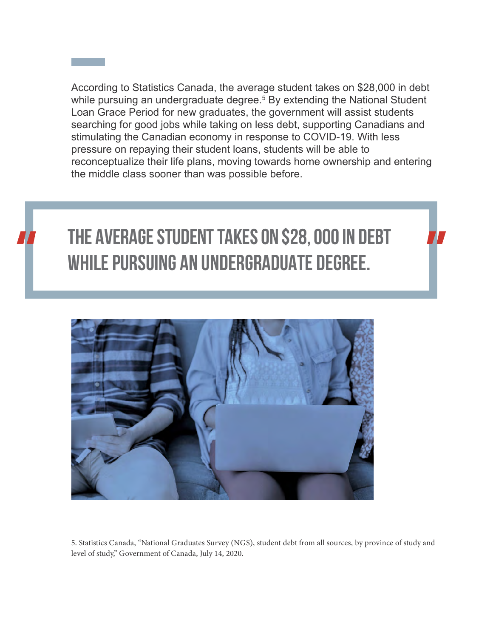According to Statistics Canada, the average student takes on \$28,000 in debt while pursuing an undergraduate degree.<sup>5</sup> By extending the National Student Loan Grace Period for new graduates, the government will assist students searching for good jobs while taking on less debt, supporting Canadians and stimulating the Canadian economy in response to COVID-19. With less pressure on repaying their student loans, students will be able to reconceptualize their life plans, moving towards home ownership and entering the middle class sooner than was possible before.



### **the average student takes on \$28, 000 in debt while pursuing an undergraduate degree.**



5. Statistics Canada, "National Graduates Survey (NGS), student debt from all sources, by province of study and level of study," Government of Canada, July 14, 2020.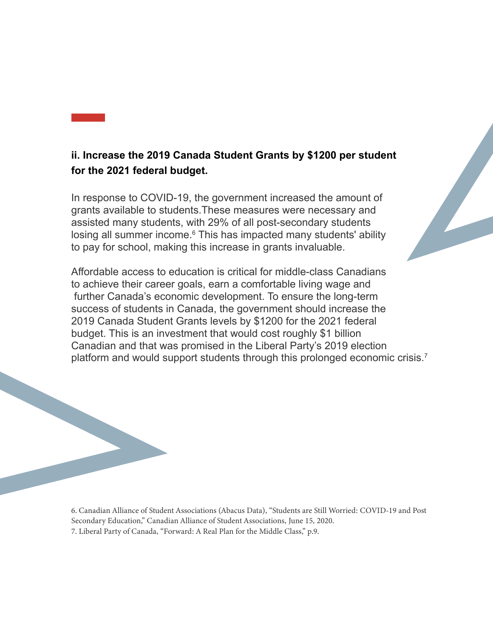#### **ii. Increase the 2019 Canada Student Grants by \$1200 per student for the 2021 federal budget.**

In response to COVID-19, the government increased the amount of grants available to students.These measures were necessary and assisted many students, with 29% of all post-secondary students losing all summer income.<sup>6</sup> This has impacted many students' ability to pay for school, making this increase in grants invaluable.

Affordable access to education is critical for middle-class Canadians to achieve their career goals, earn a comfortable living wage and further Canada's economic development. To ensure the long-term success of students in Canada, the government should increase the 2019 Canada Student Grants levels by \$1200 for the 2021 federal budget. This is an investment that would cost roughly \$1 billion Canadian and that was promised in the Liberal Party's 2019 election platform and would support students through this prolonged economic crisis.<sup>7</sup>

6. Canadian Alliance of Student Associations (Abacus Data), "Students are Still Worried: COVID-19 and Post Secondary Education," Canadian Alliance of Student Associations, June 15, 2020.7. Liberal Party of Canada, "Forward: A Real Plan for the Middle Class," p.9.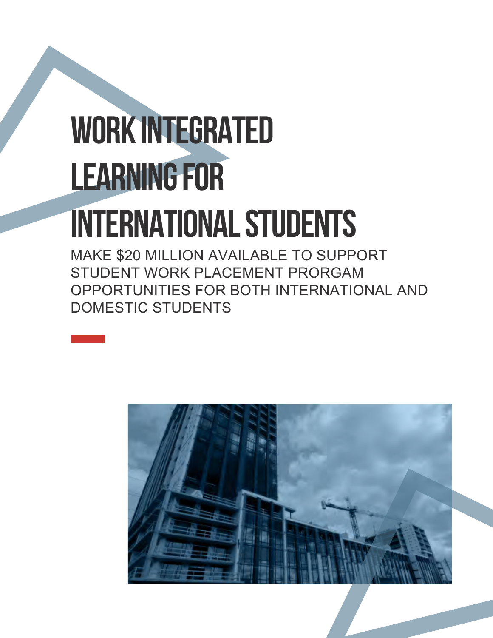# WORK INTEGRATED LEARNING FOR INTERNATIONAL STUDENTS

MAKE \$20 MILLION AVAILABLE TO SUPPORT STUDENT WORK PLACEMENT PRORGAM OPPORTUNITIES FOR BOTH INTERNATIONAL AND DOMESTIC STUDENTS

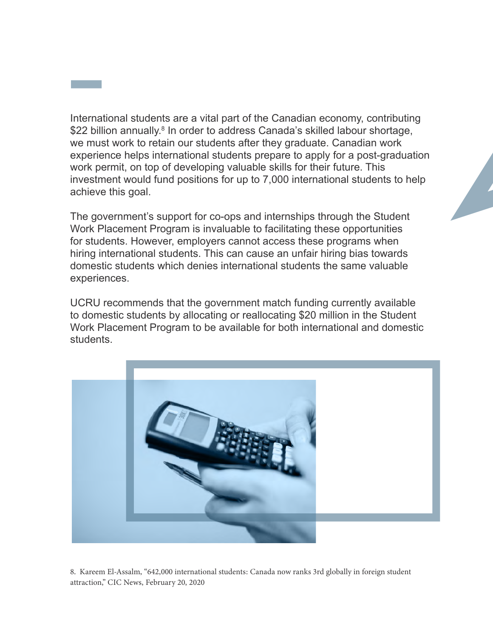International students are a vital part of the Canadian economy, contributing \$22 billion annually.<sup>8</sup> In order to address Canada's skilled labour shortage, we must work to retain our students after they graduate. Canadian work experience helps international students prepare to apply for a post-graduation work permit, on top of developing valuable skills for their future. This investment would fund positions for up to 7,000 international students to help achieve this goal.

The government's support for co-ops and internships through the Student Work Placement Program is invaluable to facilitating these opportunities for students. However, employers cannot access these programs when hiring international students. This can cause an unfair hiring bias towards domestic students which denies international students the same valuable experiences.

UCRU recommends that the government match funding currently available to domestic students by allocating or reallocating \$20 million in the Student Work Placement Program to be available for both international and domestic students.



8. Kareem El-Assalm, "642,000 international students: Canada now ranks 3rd globally in foreign student attraction," CIC News, February 20, 2020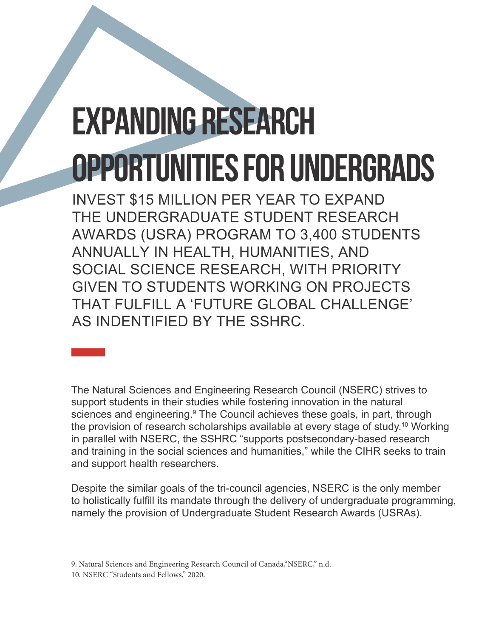### EXPANDING RESEARCH OPPORTUNITIES FOR UNDERGRADS

INVEST \$15 MILLION PER YEAR TO EXPAND THE UNDERGRADUATE STUDENT RESEARCH AWARDS (USRA) PROGRAM TO 3,400 STUDENTS ANNUALLY IN HEALTH, HUMANITIES, AND SOCIAL SCIENCE RESEARCH, WITH PRIORITY GIVEN TO STUDENTS WORKING ON PROJECTS THAT FULFILL A 'FUTURE GLOBAL CHALLENGE' AS INDENTIFIED BY THE SSHRC.

The Natural Sciences and Engineering Research Council (NSERC) strives to support students in their studies while fostering innovation in the natural sciences and engineering.<sup>9</sup> The Council achieves these goals, in part, through the provision of research scholarships available at every stage of study.<sup>10</sup> Working in parallel with NSERC, the SSHRC "supports postsecondary-based research and training in the social sciences and humanities," while the CIHR seeks to train and support health researchers.

Despite the similar goals of the tri-council agencies, NSERC is the only member to holistically fulfill its mandate through the delivery of undergraduate programming, namely the provision of Undergraduate Student Research Awards (USRAs).

9. Natural Sciences and Engineering Research Council of Canada,"NSERC," n.d. 10. NSERC "Students and Fellows." 2020.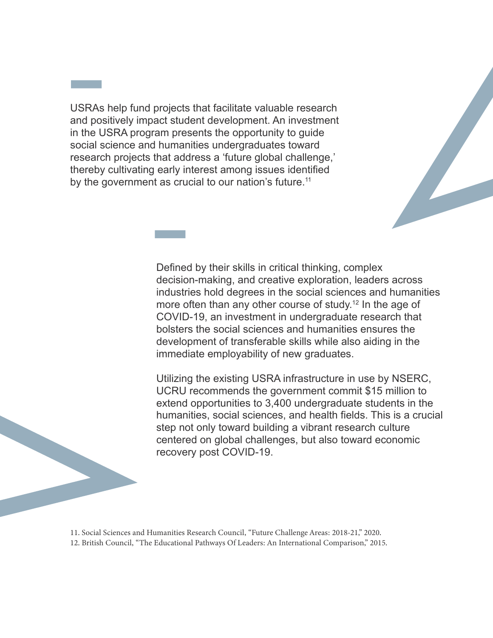USRAs help fund projects that facilitate valuable research and positively impact student development. An investment in the USRA program presents the opportunity to guide social science and humanities undergraduates toward research projects that address a 'future global challenge,' thereby cultivating early interest among issues identified by the government as crucial to our nation's future.<sup>11</sup>



Defined by their skills in critical thinking, complex decision-making, and creative exploration, leaders across industries hold degrees in the social sciences and humanities more often than any other course of study.<sup>12</sup> In the age of COVID-19, an investment in undergraduate research that bolsters the social sciences and humanities ensures the development of transferable skills while also aiding in the immediate employability of new graduates.

Utilizing the existing USRA infrastructure in use by NSERC, UCRU recommends the government commit \$15 million to extend opportunities to 3,400 undergraduate students in the humanities, social sciences, and health fields. This is a crucial step not only toward building a vibrant research culture centered on global challenges, but also toward economic recovery post COVID-19.

11. Social Sciences and Humanities Research Council, "Future Challenge Areas: 2018-21," 2020. 12. British Council, "The Educational Pathways Of Leaders: An International Comparison," 2015.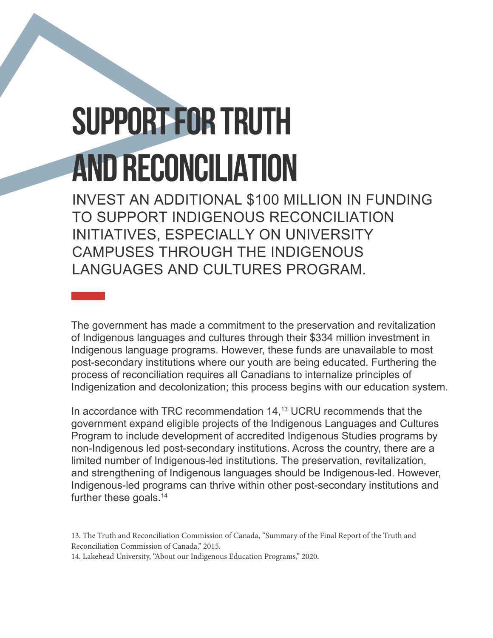## SUPPORT FOR TRUTH AND RECONCILIATION

INVEST AN ADDITIONAL \$100 MILLION IN FUNDING TO SUPPORT INDIGENOUS RECONCILIATION INITIATIVES, ESPECIALLY ON UNIVERSITY CAMPUSES THROUGH THE INDIGENOUS LANGUAGES AND CULTURES PROGRAM.

The government has made a commitment to the preservation and revitalization of Indigenous languages and cultures through their \$334 million investment in Indigenous language programs. However, these funds are unavailable to most post-secondary institutions where our youth are being educated. Furthering the process of reconciliation requires all Canadians to internalize principles of Indigenization and decolonization; this process begins with our education system.

In accordance with TRC recommendation 14,<sup>13</sup> UCRU recommends that the government expand eligible projects of the Indigenous Languages and Cultures Program to include development of accredited Indigenous Studies programs by non-Indigenous led post-secondary institutions. Across the country, there are a limited number of Indigenous-led institutions. The preservation, revitalization, and strengthening of Indigenous languages should be Indigenous-led. However, Indigenous-led programs can thrive within other post-secondary institutions and further these goals.<sup>14</sup>

13. The Truth and Reconciliation Commission of Canada, "Summary of the Final Report of the Truth and Reconciliation Commission of Canada," 2015.

14. Lakehead University, "About our Indigenous Education Programs," 2020.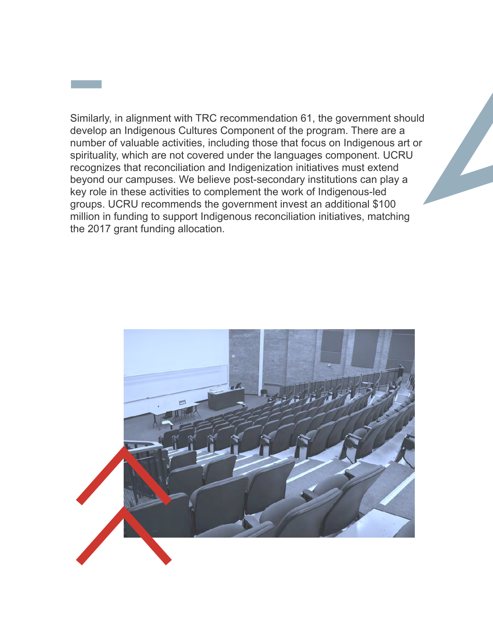Similarly, in alignment with TRC recommendation 61, the government should develop an Indigenous Cultures Component of the program. There are a number of valuable activities, including those that focus on Indigenous art or spirituality, which are not covered under the languages component. UCRU recognizes that reconciliation and Indigenization initiatives must extend beyond our campuses. We believe post-secondary institutions can play a key role in these activities to complement the work of Indigenous-led groups. UCRU recommends the government invest an additional \$100 million in funding to support Indigenous reconciliation initiatives, matching the 2017 grant funding allocation.

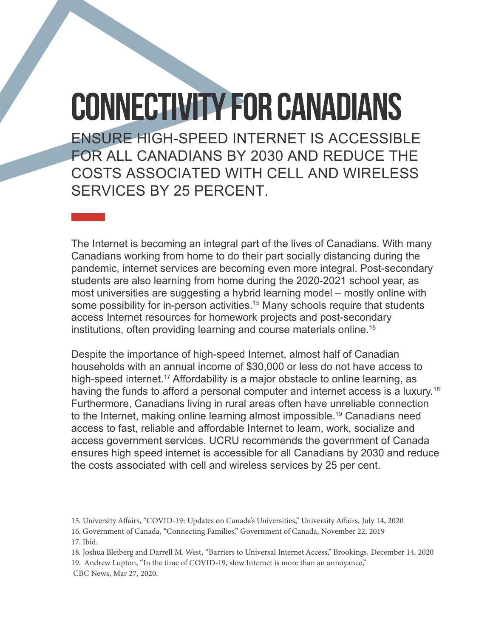### CONNECTIVITY FOR CANADIANS

ENSURE HIGH-SPEED INTERNET IS ACCESSIBLE FOR ALL CANADIANS BY 2030 AND REDUCE THE COSTS ASSOCIATED WITH CELL AND WIRELESS SERVICES BY 25 PERCENT.

The Internet is becoming an integral part of the lives of Canadians. With many Canadians working from home to do their part socially distancing during the pandemic, internet services are becoming even more integral. Post-secondary students are also learning from home during the 2020-2021 school year, as most universities are suggesting a hybrid learning model – mostly online with some possibility for in-person activities.<sup>15</sup> Many schools require that students access Internet resources for homework projects and post-secondary institutions, often providing learning and course materials online.<sup>16</sup>

Despite the importance of high-speed Internet, almost half of Canadian households with an annual income of \$30,000 or less do not have access to high-speed internet.<sup>17</sup> Affordability is a major obstacle to online learning, as having the funds to afford a personal computer and internet access is a luxury.<sup>18</sup> Furthermore, Canadians living in rural areas often have unreliable connection to the Internet, making online learning almost impossible.19 Canadians need access to fast, reliable and affordable Internet to learn, work, socialize and access government services. UCRU recommends the government of Canada ensures high speed internet is accessible for all Canadians by 2030 and reduce the costs associated with cell and wireless services by 25 per cent.

16. Government of Canada, "Connecting Families," Government of Canada, November 22, 2019 17. Ibid.

18. Joshua Bleiberg and Darrell M. West, "Barriers to Universal Internet Access," Brookings, December 14, 202019. Andrew Lupton, "In the time of COVID-19, slow Internet is more than an annoyance," CBC News, Mar 27, 2020.

<sup>15.</sup> University Affairs, "COVID-19: Updates on Canada's Universities," University Affairs, July 14, 2020